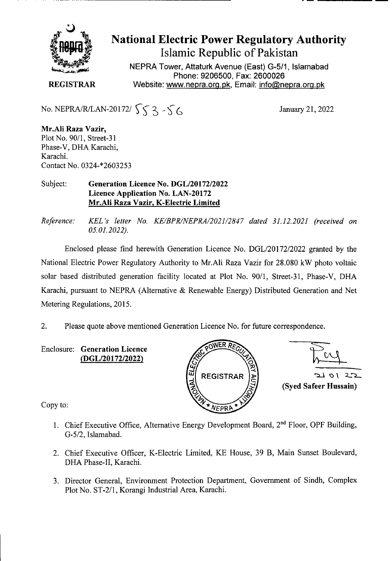

# **National Electric Power Regulatory Authority Islamic Republic of Pakistan**

**NEPRA Tower, Attaturk Avenue (East) G-511, Islamabad Phone: 9206500, Fax: 2600026 REGISTRAR** Website: www.nepra.org.pk, Email: info@nepra.org.pk

No. NEPRA/R/LAN-20172/  $\int \int \int \cdot \int \cdot \cdot \cdot$  January 21, 2022

**Mr.AJi Raza Vazir,**  Plot No. 90/1, Street-3 I Phase-V, DHA Karachi, Karachi. Contact No. 0324\*2603253

## Subject: **Generation Licence No. DGL/20172/2022 Licence Application No.** LAN-20172 Mr.Ali **Raza Vazir,** K**-Electric Limited**

*Reference: KEL 's letter No. KE/BPR/NEPRA/2021/2847 dated 31.12.2021 (received on 05.01.2022).* 

Enclosed please find herewith Generation Licence No. DGL/20172/2022 granted by the National Electric Power Regulatory Authority to Mr.Ali Raza Vazir for 28.080 kW photo voltaic solar based distributed generation facility located at Plot No. 90/1, Street-31, Phase-V, DHA Karachi, pursuant to NEPRA (Alternative & Renewable Energy) Distributed Generation and Net Metering Regulations, 2015.

2. Please quote above mentioned Generation Licence No. for future correspondence.

Enclosure: **Generation Licence (DGL/20172/2022)** 





Copy to:

- 1. Chief Executive Office, Alternative Energy Development Board, 2<sup>nd</sup> Floor, OPF Building, G-5/2, Islamabad.
- 2. Chief Executive Officer, K-Electric Limited, KE House, 39 B, Main Sunset Boulevard, DHA Phase-IT, Karachi.
- 3. Director General, Environment Protection Department, Government of Sindh, Complex Plot No. ST-2/1, Korangi Industrial Area, Karachi.